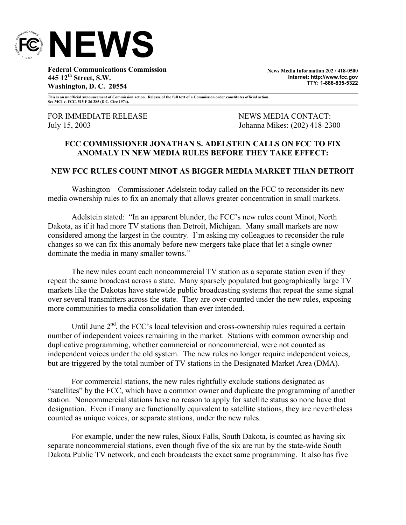

**Federal Communications Commission 445 12th Street, S.W. Washington, D. C. 20554** 

**News Media Information 202 / 418-0500 Internet: http://www.fcc.gov TTY: 1-888-835-5322**

**This is an unofficial announcement of Commission action. Release of the full text of a Commission order constitutes official action. See MCI v. FCC. 515 F 2d 385 (D.C. Circ 1974).** 

FOR IMMEDIATE RELEASE NEWS MEWS MEDIA CONTACT:

July 15, 2003 Johanna Mikes: (202) 418-2300

## **FCC COMMISSIONER JONATHAN S. ADELSTEIN CALLS ON FCC TO FIX ANOMALY IN NEW MEDIA RULES BEFORE THEY TAKE EFFECT:**

## **NEW FCC RULES COUNT MINOT AS BIGGER MEDIA MARKET THAN DETROIT**

Washington – Commissioner Adelstein today called on the FCC to reconsider its new media ownership rules to fix an anomaly that allows greater concentration in small markets.

 Adelstein stated: "In an apparent blunder, the FCC's new rules count Minot, North Dakota, as if it had more TV stations than Detroit, Michigan. Many small markets are now considered among the largest in the country. I'm asking my colleagues to reconsider the rule changes so we can fix this anomaly before new mergers take place that let a single owner dominate the media in many smaller towns."

The new rules count each noncommercial TV station as a separate station even if they repeat the same broadcast across a state. Many sparsely populated but geographically large TV markets like the Dakotas have statewide public broadcasting systems that repeat the same signal over several transmitters across the state. They are over-counted under the new rules, exposing more communities to media consolidation than ever intended.

Until June  $2<sup>nd</sup>$ , the FCC's local television and cross-ownership rules required a certain number of independent voices remaining in the market. Stations with common ownership and duplicative programming, whether commercial or noncommercial, were not counted as independent voices under the old system. The new rules no longer require independent voices, but are triggered by the total number of TV stations in the Designated Market Area (DMA).

For commercial stations, the new rules rightfully exclude stations designated as "satellites" by the FCC, which have a common owner and duplicate the programming of another station. Noncommercial stations have no reason to apply for satellite status so none have that designation. Even if many are functionally equivalent to satellite stations, they are nevertheless counted as unique voices, or separate stations, under the new rules.

For example, under the new rules, Sioux Falls, South Dakota, is counted as having six separate noncommercial stations, even though five of the six are run by the state-wide South Dakota Public TV network, and each broadcasts the exact same programming. It also has five